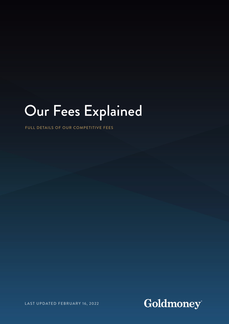# Our Fees Explained

FULL DETAILS OF OUR COMPETITIVE FEES

Goldmoney®

LAST UPDATED FEBRUARY 16, 2022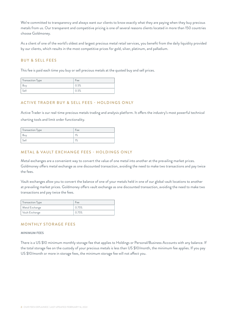We're committed to transparency and always want our clients to know exactly what they are paying when they buy precious metals from us. Our transparent and competitive pricing is one of several reasons clients located in more than 150 countries choose Goldmoney.

As a client of one of the world's oldest and largest precious metal retail services, you benefit from the daily liquidity provided by our clients, which results in the most competitive prices for gold, silver, platinum, and palladium.

# BUY & SELL FEES

This fee is paid each time you buy or sell precious metals at the quoted buy and sell prices.

| Transaction Type | Fee  |
|------------------|------|
| Buv              | 0.5% |
| Sell             | 0.5% |

## ACTIVE TRADER BUY & SELL FEES - HOLDINGS ONLY

Active Trader is our real-time precious metals trading and analysis platform. It offers the industry's most powerful technical charting tools and limit order functionality.

| <b>Transaction Type</b> | Fee             |
|-------------------------|-----------------|
| Buv                     | 10/             |
| Sell                    | 10 <sub>l</sub> |

# METAL & VAULT EXCHANGE FEES - HOLDINGS ONLY

Metal exchanges are a convenient way to convert the value of one metal into another at the prevailing market prices. Goldmoney offers metal exchange as one discounted transaction, avoiding the need to make two transactions and pay twice the fees.

Vault exchanges allow you to convert the balance of one of your metals held in one of our global vault locations to another at prevailing market prices. Goldmoney offers vault exchange as one discounted transaction, avoiding the need to make two transactions and pay twice the fees.

| Transaction Type | <b>Hee</b> |
|------------------|------------|
| Metal Exchange   | O 75%      |
| Vault Exchange   | O 75%      |

## MONTHLY STORAGE FEES

#### MINIMUM FEES

There is a US \$10 minimum monthly storage fee that applies to Holdings or Personal/Business Accounts with any balance. If the total storage fee on the custody of your precious metals is less than US \$10/month, the minimum fee applies. If you pay US \$10/month or more in storage fees, the minimum storage fee will not affect you.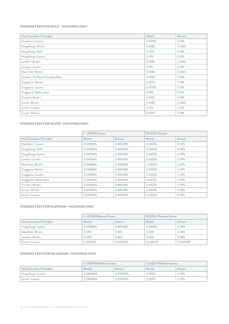#### STORAGE FEES FOR GOLD - HOLDINGS ONLY

| Vault (Location / Provider)      | Month   | Annum  |
|----------------------------------|---------|--------|
| Frankfurt / Loomis               | 0.0125% | 0.15%  |
| Hong Kong / Brink's              | 0.018%  | 0.216% |
| Hong Kong / G4S                  | 0.015%  | 0.18%  |
| Hong Kong / Loomis               | 0.01%   | 0.12%  |
| London / Brink's                 | 0.018%  | 0.216% |
| London / Loomis                  | 0.01%   | 0.12%  |
| New York / Brink's               | 0.018%  | 0.216% |
| Ottawa / The Royal Canadian Mint | 0.015%  | 0.18%  |
| Singapore / Brink's              | 0.015%  | 0.18%  |
| Singapore / Loomis               | 0.0125% | 0.15%  |
| Singapore / Malca-Amit           | 0.01%   | 0.12%  |
| Toronto / Brink's                | 0.015%  | 0.18%  |
| Zurich / Brink's                 | 0.018%  | 0.216% |
| Zurich / Loomis                  | 0.01%   | 0.12%  |
| Zurich / Rhenus                  | 0.015%  | 0.18%  |

#### STORAGE FEES FOR SILVER - HOLDINGS ONLY

|                             | 1 - 49,999 Ounces |          | 50,000+ Ounces |       |
|-----------------------------|-------------------|----------|----------------|-------|
| Vault (Location / Provider) | Month             | Annum    | Month          | Annum |
| Frankfurt / Loomis          | 0.04084%          | 0.49008% | 0.0325%        | 0.39% |
| Hong Kong / G4S             | 0.04084%          | 0.49008% | 0.0325%        | 0.39% |
| Hong Kong / Loomis          | 0.04084%          | 0.49008% | 0.0325%        | 0.39% |
| London / Loomis             | 0.04084%          | 0.49008% | 0.0325%        | 0.39% |
| New York / Brink's          | 0.04084%          | 0.49008% | 0.0325%        | 0.39% |
| Singapore / Brink's         | 0.04084%          | 0.49008% | 0.0325%        | 0.39% |
| Singapore / Loomis          | 0.04084%          | 0.49008% | 0.0325%        | 0.39% |
| Singapore / Malca-Amit      | 0.04084%          | 0.49008% | 0.0325%        | 0.39% |
| Toronto / Brink's           | 0.04084%          | 0.49008% | 0.0325%        | 0.39% |
| Zurich / Brink's            | 0.04084%          | 0.49008% | 0.0325%        | 0.39% |
| Zurich / Loomis             | 0.04084%          | 0.49008% | 0.0325%        | 0.39% |

#### STORAGE FEES FOR PLATINUM - HOLDINGS ONLY

|                             | 1 - 49,999 Platinum Grams |          | 50,000+ Platinum Grams |          |
|-----------------------------|---------------------------|----------|------------------------|----------|
| Vault (Location / Provider) | Month                     | Annum    | Month                  | Annum    |
| Hong Kong / Loomis          | 0.04084%                  | 0.49008% | 0.0325%                | 0.39%    |
| New York / Brink's          | 0.03%                     | 0.36%    | 0.03%                  | 0.36%    |
| Toronto / Brink's           | 0.03%                     | 0.36%    | 0.03%                  | 0.36%    |
| Zurich / Loomis             | 0.04917%                  | 0.59004% | 0.04917%               | 0.59004% |

#### STORAGE FEES FOR PALLADIUM - HOLDINGS ONLY

|                             | 1 - 49,999 Palladium Grams |           | 50,000+ Palladium Grams |       |
|-----------------------------|----------------------------|-----------|-------------------------|-------|
| Vault (Location / Provider) | Month                      | Annum     | Month                   | Annum |
| Hong Kong / Loomis          | 0.081666%                  | 0.979992% | 0.065%                  | 0.78% |
| Zurich / Loomis             | 0.081666%                  | 0.979992% | 0.065%                  | 0.78% |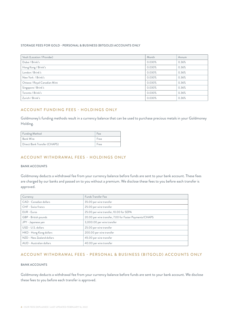#### STORAGE FEES FOR GOLD - PERSONAL & BUSINESS (BITGOLD) ACCOUNTS ONLY

| Vault (Location / Provider)  | Month  | Annum |
|------------------------------|--------|-------|
| Dubai / Brink's              | 0.030% | 0.36% |
| Hong Kong / Brink's          | 0.030% | 0.36% |
| London / Brink's             | 0.030% | 0.36% |
| New York / Brink's           | 0.030% | 0.36% |
| Ottawa / Royal Canadian Mint | 0.030% | 0.36% |
| Singapore / Brink's          | 0.030% | 0.36% |
| Toronto / Brink's            | 0.030% | 0.36% |
| Zurich / Brink's             | 0.030% | 0.36% |

## ACCOUNT FUNDING FEES - HOLDINGS ONLY

Goldmoney's funding methods result in a currency balance that can be used to purchase precious metals in your Goldmoney Holding.

| <b>Funding Method</b>        | Fee  |
|------------------------------|------|
| Bank Wire                    | Free |
| Direct Bank Transfer (CHAPS) | Free |

## ACCOUNT WITHDRAWAL FEES - HOLDINGS ONLY

#### BANK ACCOUNTS

Goldmoney deducts a withdrawal fee from your currency balance before funds are sent to your bank account. These fees are charged by our banks and passed on to you without a premium. We disclose these fees to you before each transfer is approved.

| Currency                  | Funds Transfer Fee                                      |
|---------------------------|---------------------------------------------------------|
| CAD - Canadian dollars    | 35.00 per wire transfer                                 |
| CHF - Swiss francs        | 25.00 per wire transfer                                 |
| EUR - Euros               | 25.00 per wire transfer, 10.00 for SEPA                 |
| GBP - British pounds      | 20.00 per wire transfer, 7.00 for Faster Payments/CHAPS |
| JPY - Japanese yen        | 3,000.00 per wire transfer                              |
| USD - U.S. dollars        | 25.00 per wire transfer                                 |
| HKD - Hong Kong dollars   | 200.00 per wire transfer                                |
| NZD - New Zealand dollars | 45.00 per wire transfer                                 |
| AUD - Australian dollars  | 40.00 per wire transfer                                 |

## ACCOUNT WITHDRAWAL FEES - PERSONAL & BUSINESS (BITGOLD) ACCOUNTS ONLY

## BANK ACCOUNTS

Goldmoney deducts a withdrawal fee from your currency balance before funds are sent to your bank account. We disclose these fees to you before each transfer is approved.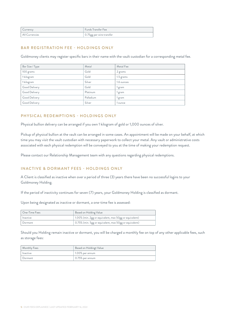| Currency       | <b>Funds Transfer Fee</b> |
|----------------|---------------------------|
| All Currencies | 0.75gg per wire transfer  |

## BAR REGISTRATION FEE - HOLDINGS ONLY

Goldmoney clients may register specific bars in their name with the vault custodian for a corresponding metal fee.

| Bar Size / Type | Metal     | Metal Fee  |
|-----------------|-----------|------------|
| 100 grams       | Gold      | 2 grams    |
| 1 kilogram      | Gold      | 1.5 grams  |
| 1 kilogram      | Silver    | 1.6 ounces |
| Good Delivery   | Gold      | 1 gram     |
| Good Delivery   | Platinum  | 1 gram     |
| Good Delivery   | Palladium | 1 gram     |
| Good Delivery   | Silver    | l ounce    |

# PHYSICAL REDEMPTIONS - HOLDINGS ONLY

Physical bullion delivery can be arranged if you own 1 kilogram of gold or 1,000 ounces of silver.

Pickup of physical bullion at the vault can be arranged in some cases. An appointment will be made on your behalf, at which time you may visit the vault custodian with necessary paperwork to collect your metal. Any vault or administrative costs associated with each physical redemption will be conveyed to you at the time of making your redemption request.

Please contact our Relationship Management team with any questions regarding physical redemptions.

# INACTIVE & DORMANT FEES - HOLDINGS ONLY

A Client is classified as inactive when over a period of three (3) years there have been no successful logins to your Goldmoney Holding.

If the period of inactivity continues for seven (7) years, your Goldmoney Holding is classified as dormant.

Upon being designated as inactive or dormant, a one-time fee is assessed:

| One-Time Fees | Based on Holding Value                                 |
|---------------|--------------------------------------------------------|
| l Inactive    | 1.00% (min. 2gg or equivalent, max 50gg or equivalent) |
| Dormant       | 0.75% (min. 5gg or equivalent, max 50gg or equivalent) |

Should you Holding remain inactive or dormant, you will be charged a monthly fee on top of any other applicable fees, such as storage fees:

| Monthly Fees | Based on Holdingt Value |
|--------------|-------------------------|
| Inactive     | $1.00\%$ per annum      |
| Dormant      | $0.75%$ per annum       |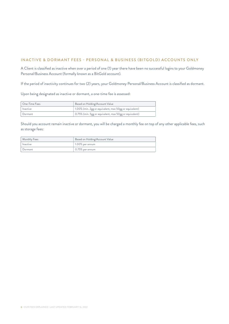# INACTIVE & DORMANT FEES - PERSONAL & BUSINESS (BITGOLD) ACCOUNTS ONLY

A Client is classified as inactive when over a period of one (1) year there have been no successful logins to your Goldmoney Personal/Business Account (formally known as a BitGold account).

If the period of inactivity continues for two (2) years, your Goldmoney Personal/Business Account is classified as dormant.

Upon being designated as inactive or dormant, a one-time fee is assessed:

| One-Time Fees | Based on Holding/Account Value                         |
|---------------|--------------------------------------------------------|
| Inactive      | 1.00% (min. 2gg or equivalent, max 50gg or equivalent) |
| Dormant       | 0.75% (min. 5gg or equivalent, max 50gg or equivalent) |

Should you account remain inactive or dormant, you will be charged a monthly fee on top of any other applicable fees, such as storage fees:

| Monthly Fees | Based on Holding/Account Value |
|--------------|--------------------------------|
| Inactive     | 1.00% per annum                |
| Dormant      | 0.75% per annum                |